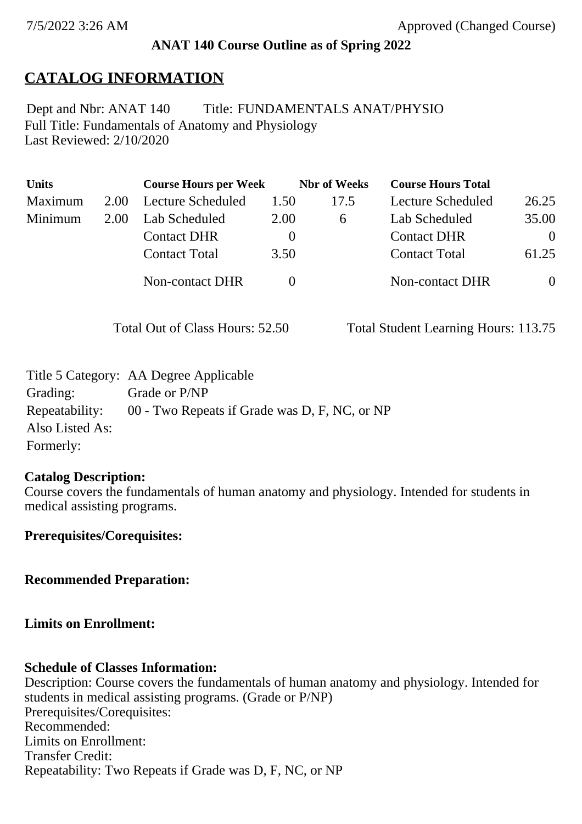### **ANAT 140 Course Outline as of Spring 2022**

# **CATALOG INFORMATION**

Full Title: Fundamentals of Anatomy and Physiology Last Reviewed: 2/10/2020 Dept and Nbr: ANAT 140 Title: FUNDAMENTALS ANAT/PHYSIO

| <b>Units</b> |      | <b>Course Hours per Week</b> |          | <b>Nbr</b> of Weeks | <b>Course Hours Total</b> |          |
|--------------|------|------------------------------|----------|---------------------|---------------------------|----------|
| Maximum      | 2.00 | Lecture Scheduled            | 1.50     | 17.5                | Lecture Scheduled         | 26.25    |
| Minimum      | 2.00 | Lab Scheduled                | 2.00     | 6                   | Lab Scheduled             | 35.00    |
|              |      | <b>Contact DHR</b>           | $\theta$ |                     | <b>Contact DHR</b>        | $\Omega$ |
|              |      | <b>Contact Total</b>         | 3.50     |                     | <b>Contact Total</b>      | 61.25    |
|              |      | Non-contact DHR              |          |                     | <b>Non-contact DHR</b>    | $\theta$ |

Total Out of Class Hours: 52.50 Total Student Learning Hours: 113.75

|                 | Title 5 Category: AA Degree Applicable        |
|-----------------|-----------------------------------------------|
| Grading:        | Grade or P/NP                                 |
| Repeatability:  | 00 - Two Repeats if Grade was D, F, NC, or NP |
| Also Listed As: |                                               |
| Formerly:       |                                               |

#### **Catalog Description:**

Course covers the fundamentals of human anatomy and physiology. Intended for students in medical assisting programs.

**Prerequisites/Corequisites:**

**Recommended Preparation:**

**Limits on Enrollment:**

#### **Schedule of Classes Information:**

Description: Course covers the fundamentals of human anatomy and physiology. Intended for students in medical assisting programs. (Grade or P/NP) Prerequisites/Corequisites: Recommended: Limits on Enrollment: Transfer Credit: Repeatability: Two Repeats if Grade was D, F, NC, or NP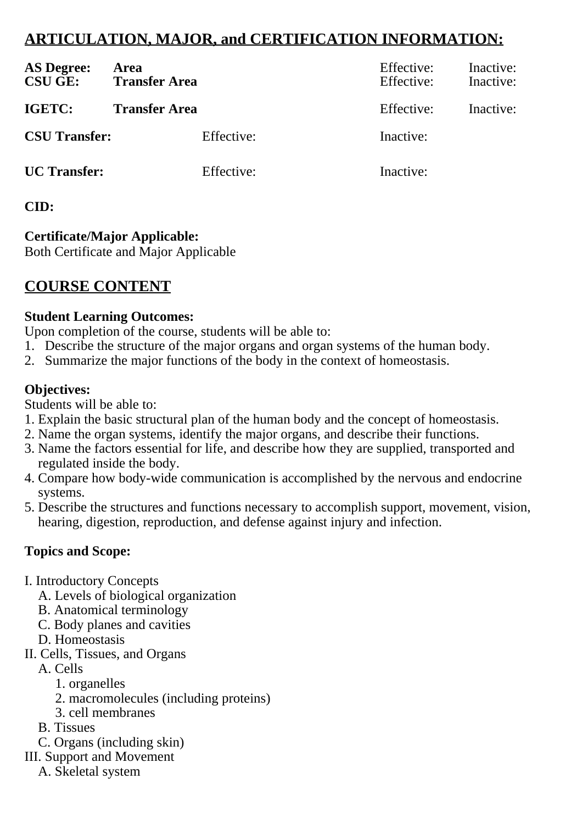# **ARTICULATION, MAJOR, and CERTIFICATION INFORMATION:**

| <b>AS Degree:</b><br><b>CSU GE:</b> | Area<br><b>Transfer Area</b> | Effective:<br>Effective: | Inactive:<br>Inactive: |
|-------------------------------------|------------------------------|--------------------------|------------------------|
| IGETC:                              | <b>Transfer Area</b>         | Effective:               | Inactive:              |
| <b>CSU Transfer:</b>                | Effective:                   | Inactive:                |                        |
| <b>UC</b> Transfer:                 | Effective:                   | Inactive:                |                        |

## **CID:**

## **Certificate/Major Applicable:**

[Both Certificate and Major Applicable](SR_ClassCheck.aspx?CourseKey=ANAT140)

# **COURSE CONTENT**

### **Student Learning Outcomes:**

Upon completion of the course, students will be able to:

- 1. Describe the structure of the major organs and organ systems of the human body.
- 2. Summarize the major functions of the body in the context of homeostasis.

### **Objectives:**

Students will be able to:

- 1. Explain the basic structural plan of the human body and the concept of homeostasis.
- 2. Name the organ systems, identify the major organs, and describe their functions.
- 3. Name the factors essential for life, and describe how they are supplied, transported and regulated inside the body.
- 4. Compare how body-wide communication is accomplished by the nervous and endocrine systems.
- 5. Describe the structures and functions necessary to accomplish support, movement, vision, hearing, digestion, reproduction, and defense against injury and infection.

## **Topics and Scope:**

- I. Introductory Concepts
	- A. Levels of biological organization
	- B. Anatomical terminology
	- C. Body planes and cavities
	- D. Homeostasis
- II. Cells, Tissues, and Organs
	- A. Cells
		- 1. organelles
		- 2. macromolecules (including proteins)
		- 3. cell membranes
	- B. Tissues
	- C. Organs (including skin)
- III. Support and Movement
	- A. Skeletal system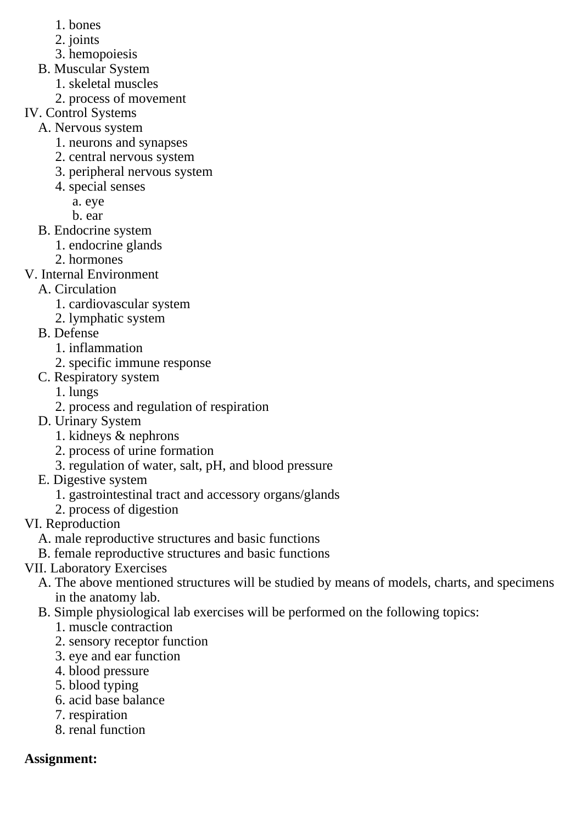- 1. bones
- 2. joints
- 3. hemopoiesis
- B. Muscular System
	- 1. skeletal muscles
	- 2. process of movement
- IV. Control Systems
	- A. Nervous system
		- 1. neurons and synapses
		- 2. central nervous system
		- 3. peripheral nervous system
		- 4. special senses
			- a. eye
			- b. ear
	- B. Endocrine system
		- 1. endocrine glands
		- 2. hormones
- V. Internal Environment
	- A. Circulation
		- 1. cardiovascular system
		- 2. lymphatic system
	- B. Defense
		- 1. inflammation
		- 2. specific immune response
	- C. Respiratory system
		- 1. lungs
		- 2. process and regulation of respiration
	- D. Urinary System
		- 1. kidneys & nephrons
		- 2. process of urine formation
		- 3. regulation of water, salt, pH, and blood pressure
	- E. Digestive system
		- 1. gastrointestinal tract and accessory organs/glands
		- 2. process of digestion
- VI. Reproduction
	- A. male reproductive structures and basic functions
	- B. female reproductive structures and basic functions
- VII. Laboratory Exercises
	- A. The above mentioned structures will be studied by means of models, charts, and specimens in the anatomy lab.
	- B. Simple physiological lab exercises will be performed on the following topics:
		- 1. muscle contraction
		- 2. sensory receptor function
		- 3. eye and ear function
		- 4. blood pressure
		- 5. blood typing
		- 6. acid base balance
		- 7. respiration
		- 8. renal function

# **Assignment:**